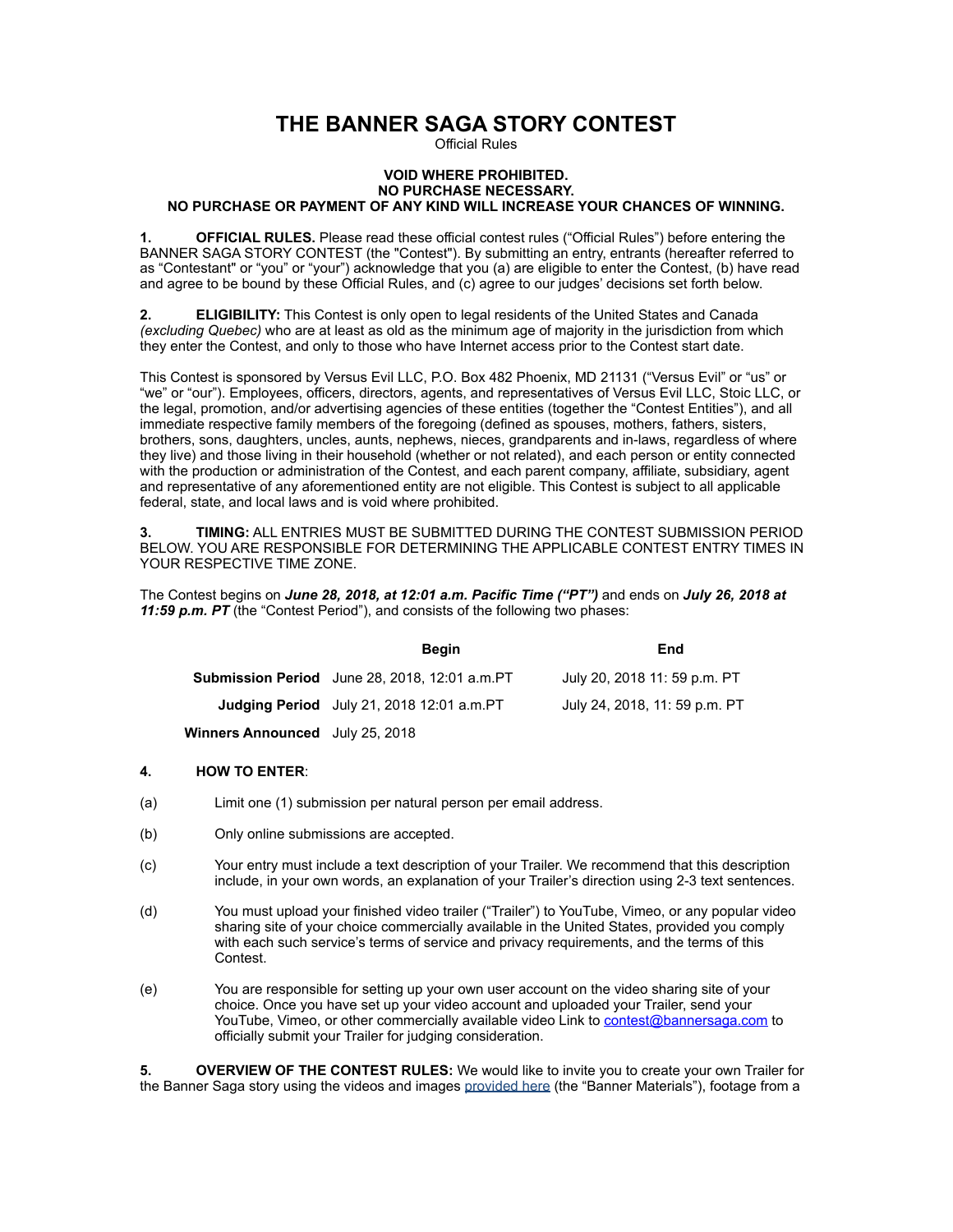# **THE BANNER SAGA STORY CONTEST**

Official Rules

## **VOID WHERE PROHIBITED. NO PURCHASE NECESSARY. NO PURCHASE OR PAYMENT OF ANY KIND WILL INCREASE YOUR CHANCES OF WINNING.**

**1. OFFICIAL RULES.** Please read these official contest rules ("Official Rules") before entering the BANNER SAGA STORY CONTEST (the "Contest"). By submitting an entry, entrants (hereafter referred to as "Contestant" or "you" or "your") acknowledge that you (a) are eligible to enter the Contest, (b) have read and agree to be bound by these Official Rules, and (c) agree to our judges' decisions set forth below.

**2. ELIGIBILITY:** This Contest is only open to legal residents of the United States and Canada *(excluding Quebec)* who are at least as old as the minimum age of majority in the jurisdiction from which they enter the Contest, and only to those who have Internet access prior to the Contest start date.

This Contest is sponsored by Versus Evil LLC, P.O. Box 482 Phoenix, MD 21131 ("Versus Evil" or "us" or "we" or "our"). Employees, officers, directors, agents, and representatives of Versus Evil LLC, Stoic LLC, or the legal, promotion, and/or advertising agencies of these entities (together the "Contest Entities"), and all immediate respective family members of the foregoing (defined as spouses, mothers, fathers, sisters, brothers, sons, daughters, uncles, aunts, nephews, nieces, grandparents and in-laws, regardless of where they live) and those living in their household (whether or not related), and each person or entity connected with the production or administration of the Contest, and each parent company, affiliate, subsidiary, agent and representative of any aforementioned entity are not eligible. This Contest is subject to all applicable federal, state, and local laws and is void where prohibited.

**3. TIMING:** ALL ENTRIES MUST BE SUBMITTED DURING THE CONTEST SUBMISSION PERIOD BELOW. YOU ARE RESPONSIBLE FOR DETERMINING THE APPLICABLE CONTEST ENTRY TIMES IN YOUR RESPECTIVE TIME ZONE.

The Contest begins on *June 28, 2018, at 12:01 a.m. Pacific Time ("PT")* and ends on *July 26, 2018 at 11:59 p.m. PT* (the "Contest Period"), and consists of the following two phases:

|                                 | <b>Begin</b>                                         | End                           |
|---------------------------------|------------------------------------------------------|-------------------------------|
|                                 | <b>Submission Period</b> June 28, 2018, 12:01 a.m.PT | July 20, 2018 11: 59 p.m. PT  |
|                                 | <b>Judging Period</b> July 21, 2018 12:01 $a.m.PT$   | July 24, 2018, 11: 59 p.m. PT |
| Winners Announced July 25, 2018 |                                                      |                               |

## **4. HOW TO ENTER**:

- (a) Limit one (1) submission per natural person per email address.
- (b) Only online submissions are accepted.
- (c) Your entry must include a text description of your Trailer. We recommend that this description include, in your own words, an explanation of your Trailer's direction using 2-3 text sentences.
- (d) You must upload your finished video trailer ("Trailer") to YouTube, Vimeo, or any popular video sharing site of your choice commercially available in the United States, provided you comply with each such service's terms of service and privacy requirements, and the terms of this Contest.
- (e) You are responsible for setting up your own user account on the video sharing site of your choice. Once you have set up your video account and uploaded your Trailer, send your YouTube, Vimeo, or other commercially available video Link to [contest@bannersaga.com](mailto:contest@bannersaga.com) to officially submit your Trailer for judging consideration.

**5. OVERVIEW OF THE CONTEST RULES:** We would like to invite you to create your own Trailer for the Banner Saga story using the videos and images [provided here](https://www.dropbox.com/sh/k2hxdsc6xb77q5k/AABFFq9EiBK49mlROm5NlHI7a?dl=0) (the "Banner Materials"), footage from a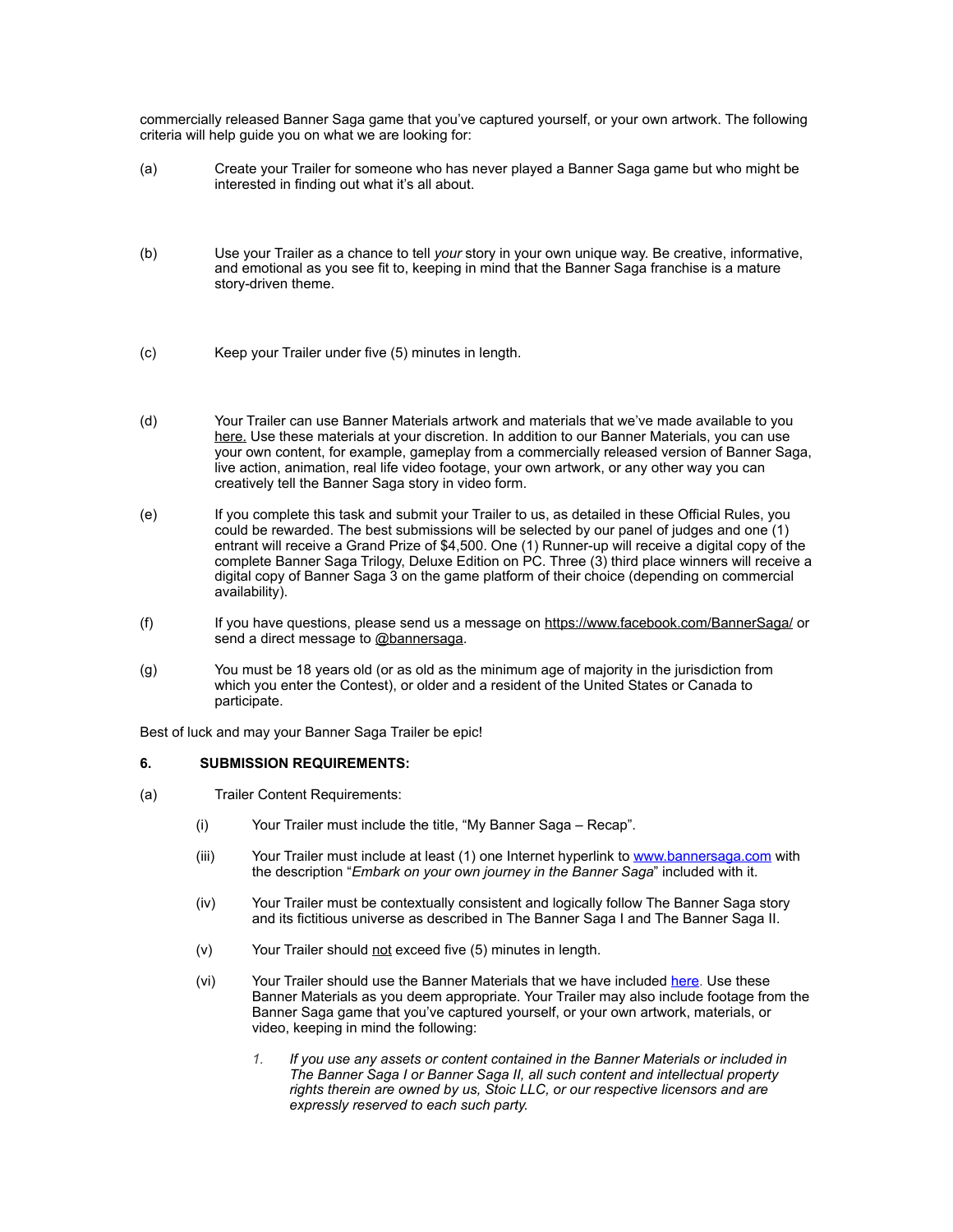commercially released Banner Saga game that you've captured yourself, or your own artwork. The following criteria will help guide you on what we are looking for:

- (a) Create your Trailer for someone who has never played a Banner Saga game but who might be interested in finding out what it's all about.
- (b) Use your Trailer as a chance to tell *your* story in your own unique way. Be creative, informative, and emotional as you see fit to, keeping in mind that the Banner Saga franchise is a mature story-driven theme.
- (c) Keep your Trailer under five (5) minutes in length.
- (d) Your Trailer can use Banner Materials artwork and materials that we've made available to you [here.](https://www.dropbox.com/sh/k2hxdsc6xb77q5k/AABFFq9EiBK49mlROm5NlHI7a?dl=0) Use these materials at your discretion. In addition to our Banner Materials, you can use your own content, for example, gameplay from a commercially released version of Banner Saga, live action, animation, real life video footage, your own artwork, or any other way you can creatively tell the Banner Saga story in video form.
- (e) If you complete this task and submit your Trailer to us, as detailed in these Official Rules, you could be rewarded. The best submissions will be selected by our panel of judges and one (1) entrant will receive a Grand Prize of \$4,500. One (1) Runner-up will receive a digital copy of the complete Banner Saga Trilogy, Deluxe Edition on PC. Three (3) third place winners will receive a digital copy of Banner Saga 3 on the game platform of their choice (depending on commercial availability).
- (f) If you have questions, please send us a message on<https://www.facebook.com/BannerSaga/>or send a direct message to [@bannersaga.](http://www.bannerplaceholder.com/)
- (g) You must be 18 years old (or as old as the minimum age of majority in the jurisdiction from which you enter the Contest), or older and a resident of the United States or Canada to participate.

Best of luck and may your Banner Saga Trailer be epic!

## **6. SUBMISSION REQUIREMENTS:**

- (a) Trailer Content Requirements:
	- (i) Your Trailer must include the title, "My Banner Saga Recap".
	- (iii) Your Trailer must include at least (1) one Internet hyperlink to [www.bannersaga.com](http://www.bannersaga.com) with the description "*Embark on your own journey in the Banner Saga*" included with it.
	- (iv) Your Trailer must be contextually consistent and logically follow The Banner Saga story and its fictitious universe as described in The Banner Saga I and The Banner Saga II.
	- (v) Your Trailer should not exceed five (5) minutes in length.
	- (vi) Your Trailer should use the Banner Materials that we have included [here](https://www.dropbox.com/sh/k2hxdsc6xb77q5k/AABFFq9EiBK49mlROm5NlHI7a?dl=0). Use these Banner Materials as you deem appropriate. Your Trailer may also include footage from the Banner Saga game that you've captured yourself, or your own artwork, materials, or video, keeping in mind the following:
		- *1. If you use any assets or content contained in the Banner Materials or included in The Banner Saga I or Banner Saga II, all such content and intellectual property rights therein are owned by us, Stoic LLC, or our respective licensors and are expressly reserved to each such party.*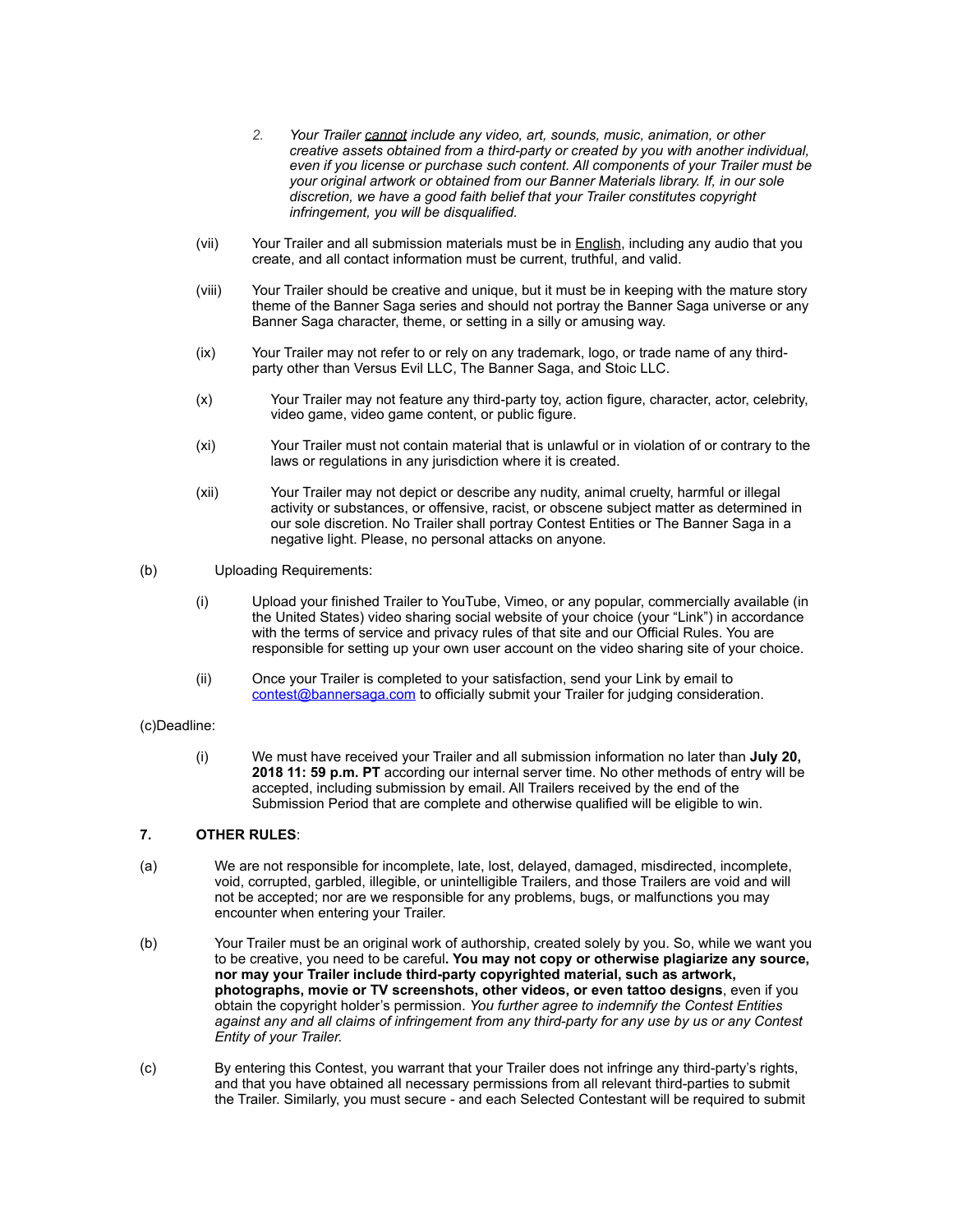- *2. Your Trailer cannot include any video, art, sounds, music, animation, or other creative assets obtained from a third-party or created by you with another individual, even if you license or purchase such content. All components of your Trailer must be your original artwork or obtained from our Banner Materials library. If, in our sole discretion, we have a good faith belief that your Trailer constitutes copyright infringement, you will be disqualified.*
- (vii) Your Trailer and all submission materials must be in English, including any audio that you create, and all contact information must be current, truthful, and valid.
- (viii) Your Trailer should be creative and unique, but it must be in keeping with the mature story theme of the Banner Saga series and should not portray the Banner Saga universe or any Banner Saga character, theme, or setting in a silly or amusing way.
- (ix) Your Trailer may not refer to or rely on any trademark, logo, or trade name of any thirdparty other than Versus Evil LLC, The Banner Saga, and Stoic LLC.
- (x) Your Trailer may not feature any third-party toy, action figure, character, actor, celebrity, video game, video game content, or public figure.
- (xi) Your Trailer must not contain material that is unlawful or in violation of or contrary to the laws or regulations in any jurisdiction where it is created.
- (xii) Your Trailer may not depict or describe any nudity, animal cruelty, harmful or illegal activity or substances, or offensive, racist, or obscene subject matter as determined in our sole discretion. No Trailer shall portray Contest Entities or The Banner Saga in a negative light. Please, no personal attacks on anyone.
- (b) Uploading Requirements:
	- (i) Upload your finished Trailer to YouTube, Vimeo, or any popular, commercially available (in the United States) video sharing social website of your choice (your "Link") in accordance with the terms of service and privacy rules of that site and our Official Rules. You are responsible for setting up your own user account on the video sharing site of your choice.
	- (ii) Once your Trailer is completed to your satisfaction, send your Link by email to [contest@bannersaga.com](mailto:contest@bannersaga.com) to officially submit your Trailer for judging consideration.

#### (c)Deadline:

(i) We must have received your Trailer and all submission information no later than **July 20, 2018 11: 59 p.m. PT** according our internal server time. No other methods of entry will be accepted, including submission by email. All Trailers received by the end of the Submission Period that are complete and otherwise qualified will be eligible to win.

#### **7. OTHER RULES**:

- (a) We are not responsible for incomplete, late, lost, delayed, damaged, misdirected, incomplete, void, corrupted, garbled, illegible, or unintelligible Trailers, and those Trailers are void and will not be accepted; nor are we responsible for any problems, bugs, or malfunctions you may encounter when entering your Trailer.
- (b) Your Trailer must be an original work of authorship, created solely by you. So, while we want you to be creative, you need to be careful**. You may not copy or otherwise plagiarize any source, nor may your Trailer include third-party copyrighted material, such as artwork, photographs, movie or TV screenshots, other videos, or even tattoo designs**, even if you obtain the copyright holder's permission. *You further agree to indemnify the Contest Entities against any and all claims of infringement from any third-party for any use by us or any Contest Entity of your Trailer.*
- (c) By entering this Contest, you warrant that your Trailer does not infringe any third-party's rights, and that you have obtained all necessary permissions from all relevant third-parties to submit the Trailer. Similarly, you must secure - and each Selected Contestant will be required to submit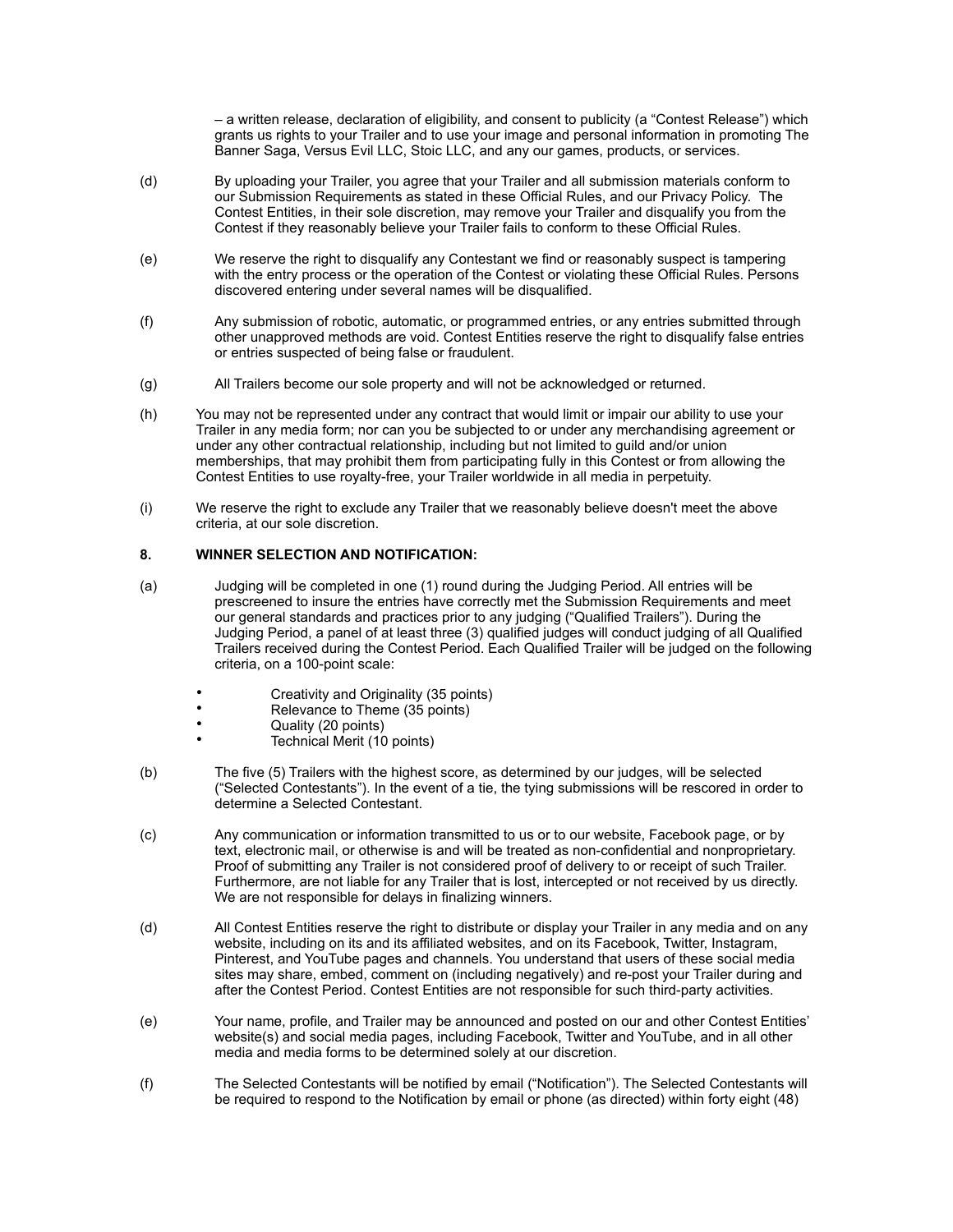– a written release, declaration of eligibility, and consent to publicity (a "Contest Release") which grants us rights to your Trailer and to use your image and personal information in promoting The Banner Saga, Versus Evil LLC, Stoic LLC, and any our games, products, or services.

- (d) By uploading your Trailer, you agree that your Trailer and all submission materials conform to our Submission Requirements as stated in these Official Rules, and our Privacy Policy. The Contest Entities, in their sole discretion, may remove your Trailer and disqualify you from the Contest if they reasonably believe your Trailer fails to conform to these Official Rules.
- (e) We reserve the right to disqualify any Contestant we find or reasonably suspect is tampering with the entry process or the operation of the Contest or violating these Official Rules. Persons discovered entering under several names will be disqualified.
- (f) Any submission of robotic, automatic, or programmed entries, or any entries submitted through other unapproved methods are void. Contest Entities reserve the right to disqualify false entries or entries suspected of being false or fraudulent.
- (g) All Trailers become our sole property and will not be acknowledged or returned.
- (h) You may not be represented under any contract that would limit or impair our ability to use your Trailer in any media form; nor can you be subjected to or under any merchandising agreement or under any other contractual relationship, including but not limited to guild and/or union memberships, that may prohibit them from participating fully in this Contest or from allowing the Contest Entities to use royalty-free, your Trailer worldwide in all media in perpetuity.
- (i) We reserve the right to exclude any Trailer that we reasonably believe doesn't meet the above criteria, at our sole discretion.

# **8. WINNER SELECTION AND NOTIFICATION:**

- (a) Judging will be completed in one (1) round during the Judging Period. All entries will be prescreened to insure the entries have correctly met the Submission Requirements and meet our general standards and practices prior to any judging ("Qualified Trailers"). During the Judging Period, a panel of at least three (3) qualified judges will conduct judging of all Qualified Trailers received during the Contest Period. Each Qualified Trailer will be judged on the following criteria, on a 100-point scale:
	- Creativity and Originality (35 points)<br>• Relevance to Theme (35 points)
	- Relevance to Theme (35 points)
	- Quality (20 points)
		- Technical Merit (10 points)
- (b) The five (5) Trailers with the highest score, as determined by our judges, will be selected ("Selected Contestants"). In the event of a tie, the tying submissions will be rescored in order to determine a Selected Contestant.
- (c) Any communication or information transmitted to us or to our website, Facebook page, or by text, electronic mail, or otherwise is and will be treated as non-confidential and nonproprietary. Proof of submitting any Trailer is not considered proof of delivery to or receipt of such Trailer. Furthermore, are not liable for any Trailer that is lost, intercepted or not received by us directly. We are not responsible for delays in finalizing winners.
- (d) All Contest Entities reserve the right to distribute or display your Trailer in any media and on any website, including on its and its affiliated websites, and on its Facebook, Twitter, Instagram, Pinterest, and YouTube pages and channels. You understand that users of these social media sites may share, embed, comment on (including negatively) and re-post your Trailer during and after the Contest Period. Contest Entities are not responsible for such third-party activities.
- (e) Your name, profile, and Trailer may be announced and posted on our and other Contest Entities' website(s) and social media pages, including Facebook, Twitter and YouTube, and in all other media and media forms to be determined solely at our discretion.
- (f) The Selected Contestants will be notified by email ("Notification"). The Selected Contestants will be required to respond to the Notification by email or phone (as directed) within forty eight (48)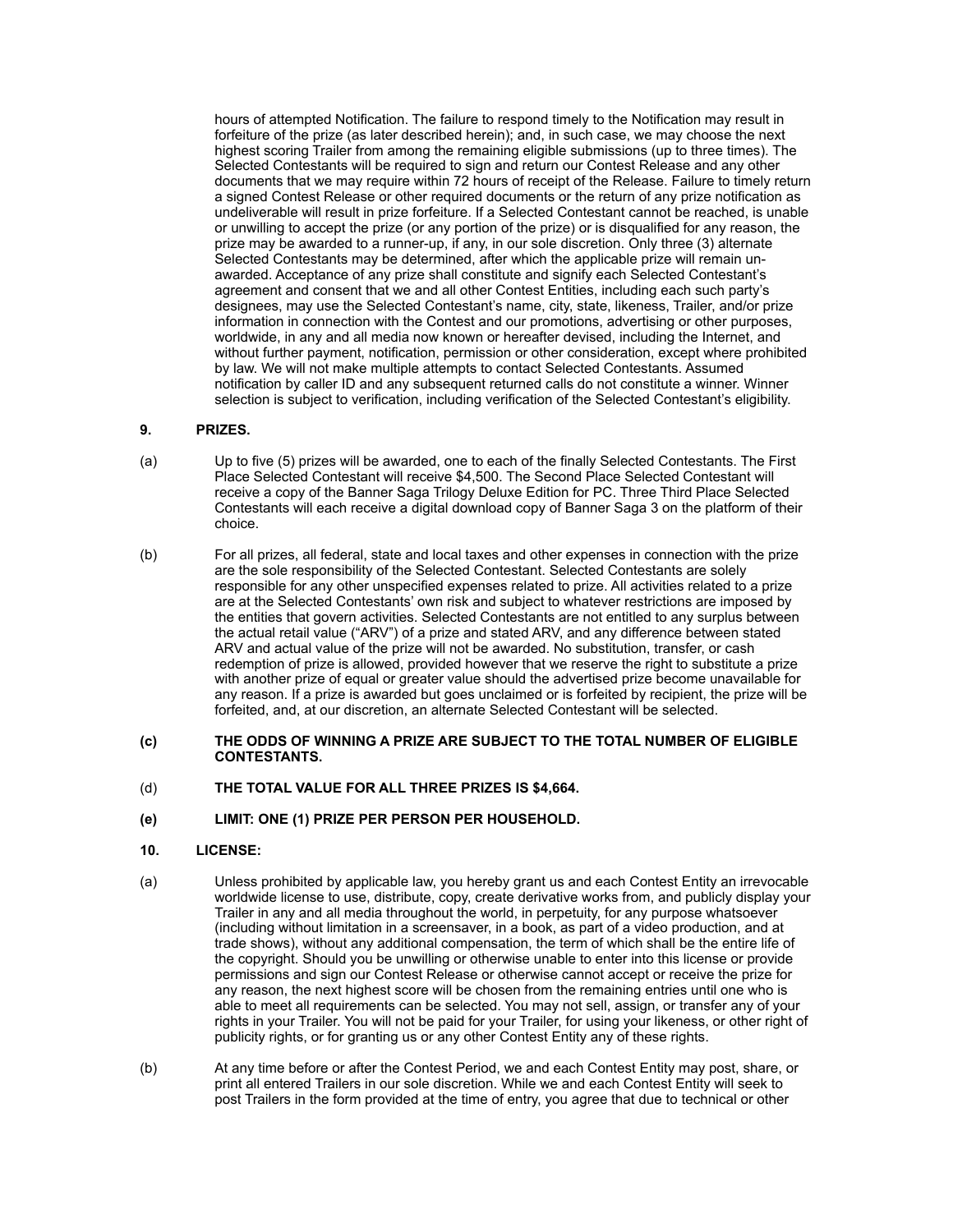hours of attempted Notification. The failure to respond timely to the Notification may result in forfeiture of the prize (as later described herein); and, in such case, we may choose the next highest scoring Trailer from among the remaining eligible submissions (up to three times). The Selected Contestants will be required to sign and return our Contest Release and any other documents that we may require within 72 hours of receipt of the Release. Failure to timely return a signed Contest Release or other required documents or the return of any prize notification as undeliverable will result in prize forfeiture. If a Selected Contestant cannot be reached, is unable or unwilling to accept the prize (or any portion of the prize) or is disqualified for any reason, the prize may be awarded to a runner-up, if any, in our sole discretion. Only three (3) alternate Selected Contestants may be determined, after which the applicable prize will remain unawarded. Acceptance of any prize shall constitute and signify each Selected Contestant's agreement and consent that we and all other Contest Entities, including each such party's designees, may use the Selected Contestant's name, city, state, likeness, Trailer, and/or prize information in connection with the Contest and our promotions, advertising or other purposes, worldwide, in any and all media now known or hereafter devised, including the Internet, and without further payment, notification, permission or other consideration, except where prohibited by law. We will not make multiple attempts to contact Selected Contestants. Assumed notification by caller ID and any subsequent returned calls do not constitute a winner. Winner selection is subject to verification, including verification of the Selected Contestant's eligibility.

# **9. PRIZES.**

- (a) Up to five (5) prizes will be awarded, one to each of the finally Selected Contestants. The First Place Selected Contestant will receive \$4,500. The Second Place Selected Contestant will receive a copy of the Banner Saga Trilogy Deluxe Edition for PC. Three Third Place Selected Contestants will each receive a digital download copy of Banner Saga 3 on the platform of their choice.
- (b) For all prizes, all federal, state and local taxes and other expenses in connection with the prize are the sole responsibility of the Selected Contestant. Selected Contestants are solely responsible for any other unspecified expenses related to prize. All activities related to a prize are at the Selected Contestants' own risk and subject to whatever restrictions are imposed by the entities that govern activities. Selected Contestants are not entitled to any surplus between the actual retail value ("ARV") of a prize and stated ARV, and any difference between stated ARV and actual value of the prize will not be awarded. No substitution, transfer, or cash redemption of prize is allowed, provided however that we reserve the right to substitute a prize with another prize of equal or greater value should the advertised prize become unavailable for any reason. If a prize is awarded but goes unclaimed or is forfeited by recipient, the prize will be forfeited, and, at our discretion, an alternate Selected Contestant will be selected.
- **(c) THE ODDS OF WINNING A PRIZE ARE SUBJECT TO THE TOTAL NUMBER OF ELIGIBLE CONTESTANTS.**
- (d) **THE TOTAL VALUE FOR ALL THREE PRIZES IS \$4,664.**
- **(e) LIMIT: ONE (1) PRIZE PER PERSON PER HOUSEHOLD.**

## **10. LICENSE:**

- (a) Unless prohibited by applicable law, you hereby grant us and each Contest Entity an irrevocable worldwide license to use, distribute, copy, create derivative works from, and publicly display your Trailer in any and all media throughout the world, in perpetuity, for any purpose whatsoever (including without limitation in a screensaver, in a book, as part of a video production, and at trade shows), without any additional compensation, the term of which shall be the entire life of the copyright. Should you be unwilling or otherwise unable to enter into this license or provide permissions and sign our Contest Release or otherwise cannot accept or receive the prize for any reason, the next highest score will be chosen from the remaining entries until one who is able to meet all requirements can be selected. You may not sell, assign, or transfer any of your rights in your Trailer. You will not be paid for your Trailer, for using your likeness, or other right of publicity rights, or for granting us or any other Contest Entity any of these rights.
- (b) At any time before or after the Contest Period, we and each Contest Entity may post, share, or print all entered Trailers in our sole discretion. While we and each Contest Entity will seek to post Trailers in the form provided at the time of entry, you agree that due to technical or other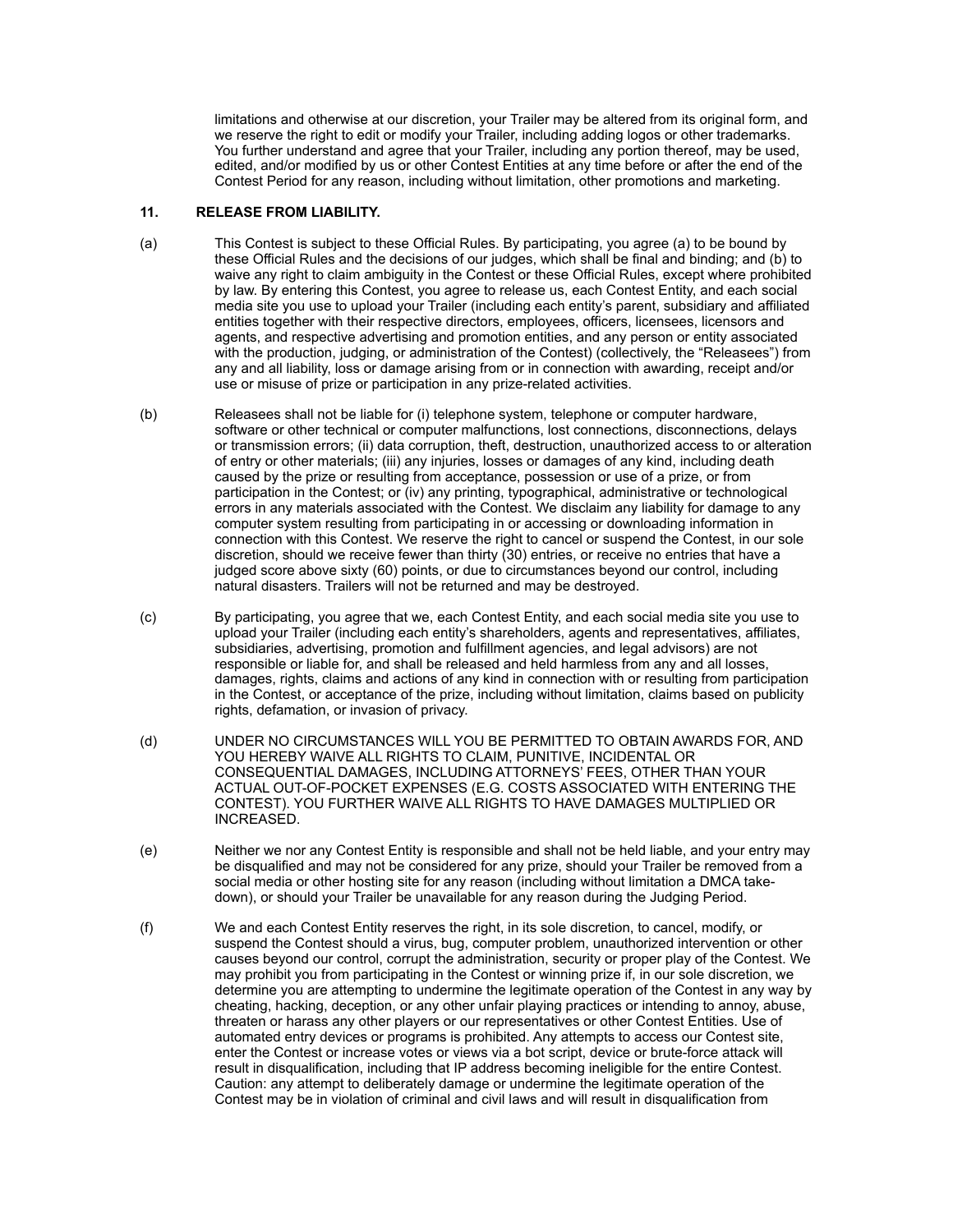limitations and otherwise at our discretion, your Trailer may be altered from its original form, and we reserve the right to edit or modify your Trailer, including adding logos or other trademarks. You further understand and agree that your Trailer, including any portion thereof, may be used, edited, and/or modified by us or other Contest Entities at any time before or after the end of the Contest Period for any reason, including without limitation, other promotions and marketing.

## **11. RELEASE FROM LIABILITY.**

- (a) This Contest is subject to these Official Rules. By participating, you agree (a) to be bound by these Official Rules and the decisions of our judges, which shall be final and binding; and (b) to waive any right to claim ambiguity in the Contest or these Official Rules, except where prohibited by law. By entering this Contest, you agree to release us, each Contest Entity, and each social media site you use to upload your Trailer (including each entity's parent, subsidiary and affiliated entities together with their respective directors, employees, officers, licensees, licensors and agents, and respective advertising and promotion entities, and any person or entity associated with the production, judging, or administration of the Contest) (collectively, the "Releasees") from any and all liability, loss or damage arising from or in connection with awarding, receipt and/or use or misuse of prize or participation in any prize-related activities.
- (b) Releasees shall not be liable for (i) telephone system, telephone or computer hardware, software or other technical or computer malfunctions, lost connections, disconnections, delays or transmission errors; (ii) data corruption, theft, destruction, unauthorized access to or alteration of entry or other materials; (iii) any injuries, losses or damages of any kind, including death caused by the prize or resulting from acceptance, possession or use of a prize, or from participation in the Contest; or (iv) any printing, typographical, administrative or technological errors in any materials associated with the Contest. We disclaim any liability for damage to any computer system resulting from participating in or accessing or downloading information in connection with this Contest. We reserve the right to cancel or suspend the Contest, in our sole discretion, should we receive fewer than thirty (30) entries, or receive no entries that have a judged score above sixty (60) points, or due to circumstances beyond our control, including natural disasters. Trailers will not be returned and may be destroyed.
- (c) By participating, you agree that we, each Contest Entity, and each social media site you use to upload your Trailer (including each entity's shareholders, agents and representatives, affiliates, subsidiaries, advertising, promotion and fulfillment agencies, and legal advisors) are not responsible or liable for, and shall be released and held harmless from any and all losses, damages, rights, claims and actions of any kind in connection with or resulting from participation in the Contest, or acceptance of the prize, including without limitation, claims based on publicity rights, defamation, or invasion of privacy.
- (d) UNDER NO CIRCUMSTANCES WILL YOU BE PERMITTED TO OBTAIN AWARDS FOR, AND YOU HEREBY WAIVE ALL RIGHTS TO CLAIM, PUNITIVE, INCIDENTAL OR CONSEQUENTIAL DAMAGES, INCLUDING ATTORNEYS' FEES, OTHER THAN YOUR ACTUAL OUT-OF-POCKET EXPENSES (E.G. COSTS ASSOCIATED WITH ENTERING THE CONTEST). YOU FURTHER WAIVE ALL RIGHTS TO HAVE DAMAGES MULTIPLIED OR INCREASED.
- (e) Neither we nor any Contest Entity is responsible and shall not be held liable, and your entry may be disqualified and may not be considered for any prize, should your Trailer be removed from a social media or other hosting site for any reason (including without limitation a DMCA takedown), or should your Trailer be unavailable for any reason during the Judging Period.
- (f) We and each Contest Entity reserves the right, in its sole discretion, to cancel, modify, or suspend the Contest should a virus, bug, computer problem, unauthorized intervention or other causes beyond our control, corrupt the administration, security or proper play of the Contest. We may prohibit you from participating in the Contest or winning prize if, in our sole discretion, we determine you are attempting to undermine the legitimate operation of the Contest in any way by cheating, hacking, deception, or any other unfair playing practices or intending to annoy, abuse, threaten or harass any other players or our representatives or other Contest Entities. Use of automated entry devices or programs is prohibited. Any attempts to access our Contest site, enter the Contest or increase votes or views via a bot script, device or brute-force attack will result in disqualification, including that IP address becoming ineligible for the entire Contest. Caution: any attempt to deliberately damage or undermine the legitimate operation of the Contest may be in violation of criminal and civil laws and will result in disqualification from